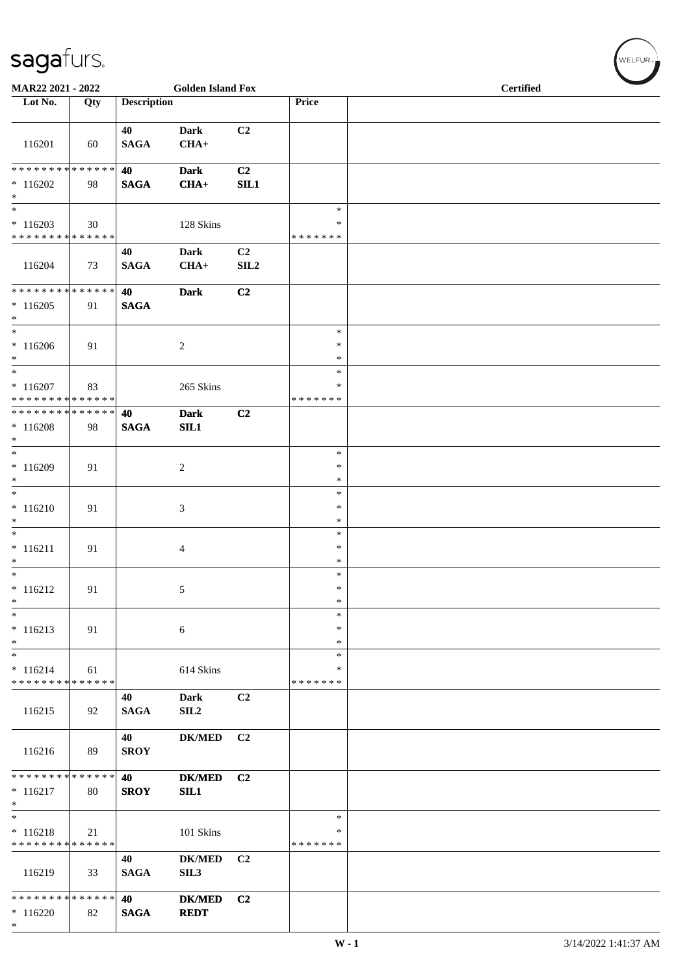| MAR22 2021 - 2022                                     |     |                    | <b>Golden Island Fox</b>          |                        |                                      | <b>Certified</b> |  |  |  |
|-------------------------------------------------------|-----|--------------------|-----------------------------------|------------------------|--------------------------------------|------------------|--|--|--|
| Lot No.                                               | Qty | <b>Description</b> |                                   |                        | Price                                |                  |  |  |  |
| 116201                                                | 60  | 40<br><b>SAGA</b>  | <b>Dark</b><br>$CHA+$             | C2                     |                                      |                  |  |  |  |
| $*116202$<br>$*$                                      | 98  | 40<br><b>SAGA</b>  | <b>Dark</b><br>$CHA+$             | C2<br>SIL1             |                                      |                  |  |  |  |
| $*$<br>$*116203$<br>******** <mark>******</mark>      | 30  |                    | 128 Skins                         |                        | $\ast$<br>$\ast$<br>* * * * * * *    |                  |  |  |  |
| 116204                                                | 73  | 40<br><b>SAGA</b>  | <b>Dark</b><br>$CHA+$             | C <sub>2</sub><br>SLL2 |                                      |                  |  |  |  |
| ******** <mark>******</mark><br>$*116205$<br>$*$      | 91  | 40<br><b>SAGA</b>  | <b>Dark</b>                       | C2                     |                                      |                  |  |  |  |
| $*$<br>$*116206$<br>$*$                               | 91  |                    | 2                                 |                        | $\ast$<br>$\ast$<br>$\ast$           |                  |  |  |  |
| $* 116207$<br>* * * * * * * * * * * * * *             | 83  |                    | 265 Skins                         |                        | *<br>*<br>* * * * * * *              |                  |  |  |  |
| * * * * * * * * * * * * * * *<br>$*116208$<br>$*$     | 98  | 40<br><b>SAGA</b>  | <b>Dark</b><br>SL1                | C2                     |                                      |                  |  |  |  |
| $*$<br>$*116209$<br>$*$<br>$*$                        | 91  |                    | 2                                 |                        | $\ast$<br>$\ast$<br>$\ast$           |                  |  |  |  |
| $* 116210$<br>$*$<br>$*$                              | 91  |                    | 3                                 |                        | $\ast$<br>∗<br>$\ast$                |                  |  |  |  |
| $* 116211$<br>$\ast$<br>$*$                           | 91  |                    | 4                                 |                        | $\ast$<br>$\ast$<br>$\ast$<br>$\ast$ |                  |  |  |  |
| $* 116212$<br>$\ast$<br>$\ast$                        | 91  |                    | 5                                 |                        | $\ast$<br>$\ast$<br>$\ast$           |                  |  |  |  |
| $* 116213$<br>$*$<br>$\overline{\phantom{0}}$         | 91  |                    | $\sqrt{6}$                        |                        | ∗<br>*                               |                  |  |  |  |
| $* 116214$<br>* * * * * * * * * * * * * *             | 61  |                    | 614 Skins                         |                        | $\ast$<br>$\ast$<br>* * * * * * *    |                  |  |  |  |
| 116215                                                | 92  | 40<br><b>SAGA</b>  | Dark<br>SIL <sub>2</sub>          | C2                     |                                      |                  |  |  |  |
| 116216                                                | 89  | 40<br><b>SROY</b>  | <b>DK/MED</b>                     | C <sub>2</sub>         |                                      |                  |  |  |  |
| * * * * * * * * * * * * * * *<br>$* 116217$<br>$\ast$ | 80  | 40<br><b>SROY</b>  | <b>DK/MED</b><br>SIL1             | C <sub>2</sub>         |                                      |                  |  |  |  |
| $\ast$<br>$* 116218$<br>* * * * * * * * * * * * * *   | 21  |                    | 101 Skins                         |                        | $\ast$<br>∗<br>* * * * * * *         |                  |  |  |  |
| 116219                                                | 33  | 40<br><b>SAGA</b>  | <b>DK/MED</b><br>SIL <sub>3</sub> | C <sub>2</sub>         |                                      |                  |  |  |  |
| * * * * * * * * * * * * * *<br>$*116220$<br>$*$       | 82  | 40<br><b>SAGA</b>  | <b>DK/MED</b><br><b>REDT</b>      | C <sub>2</sub>         |                                      |                  |  |  |  |

 $(\overbrace{\text{WELFUR}_{\text{m}}})$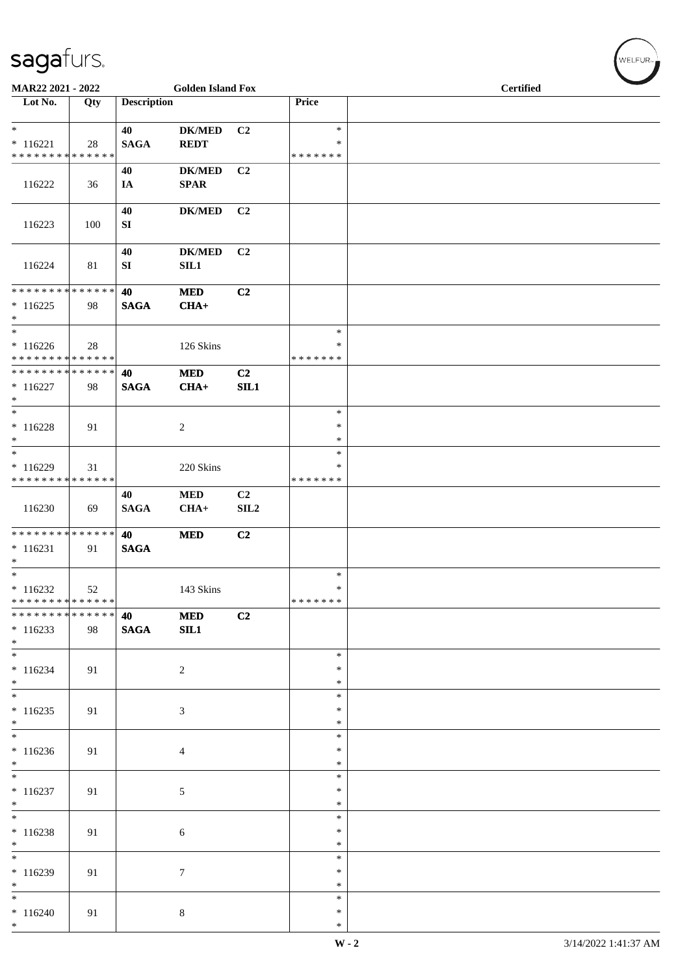| MAR22 2021 - 2022                                                               |     |                    | <b>Golden Island Fox</b>     |                |                                   | <b>Certified</b> |  |  |  |  |
|---------------------------------------------------------------------------------|-----|--------------------|------------------------------|----------------|-----------------------------------|------------------|--|--|--|--|
| Lot No.                                                                         | Qty | <b>Description</b> |                              |                | Price                             |                  |  |  |  |  |
| $\overline{\ast}$<br>$* 116221$<br>* * * * * * * * * * * * * *                  | 28  | 40<br><b>SAGA</b>  | <b>DK/MED</b><br><b>REDT</b> | C <sub>2</sub> | $\ast$<br>$\ast$<br>* * * * * * * |                  |  |  |  |  |
| 116222                                                                          | 36  | 40<br>IA           | <b>DK/MED</b><br><b>SPAR</b> | C2             |                                   |                  |  |  |  |  |
| 116223                                                                          | 100 | 40<br>SI           | <b>DK/MED</b>                | C <sub>2</sub> |                                   |                  |  |  |  |  |
| 116224                                                                          | 81  | 40<br>SI           | <b>DK/MED</b><br>SL1         | C <sub>2</sub> |                                   |                  |  |  |  |  |
| * * * * * * * * * * * * * *<br>$*116225$<br>$*$                                 | 98  | 40<br><b>SAGA</b>  | $\bf MED$<br>$CHA+$          | C2             |                                   |                  |  |  |  |  |
| $\ast$<br>$*116226$<br>* * * * * * * * * * * * * *                              | 28  |                    | 126 Skins                    |                | $\ast$<br>∗<br>* * * * * * *      |                  |  |  |  |  |
| * * * * * * * * * * * * * *<br>$* 116227$<br>$\ast$                             | 98  | 40<br><b>SAGA</b>  | $\bf MED$<br>$CHA+$          | C2<br>SIL1     |                                   |                  |  |  |  |  |
| $*$<br>$* 116228$<br>$*$                                                        | 91  |                    | $\overline{c}$               |                | $\ast$<br>$\ast$<br>$\ast$        |                  |  |  |  |  |
| $\ast$<br>$* 116229$<br>******** <mark>******</mark>                            | 31  |                    | 220 Skins                    |                | $\ast$<br>$\ast$<br>* * * * * * * |                  |  |  |  |  |
| 116230                                                                          | 69  | 40<br><b>SAGA</b>  | <b>MED</b><br>$CHA+$         | C2<br>SLL2     |                                   |                  |  |  |  |  |
| * * * * * * * * * * * * * *<br>$* 116231$<br>$\ast$<br>$\overline{\phantom{0}}$ | 91  | 40<br><b>SAGA</b>  | <b>MED</b>                   | C2             |                                   |                  |  |  |  |  |
| $*116232$<br>******** <mark>******</mark>                                       | 52  |                    | 143 Skins                    |                | $\ast$<br>$\ast$<br>* * * * * * * |                  |  |  |  |  |
| * * * * * * * * * * * * * *<br>$*116233$<br>$*$                                 | 98  | 40<br><b>SAGA</b>  | <b>MED</b><br>SL1            | C2             |                                   |                  |  |  |  |  |
| $*$<br>$* 116234$<br>$*$                                                        | 91  |                    | $\overline{c}$               |                | $\ast$<br>∗<br>$\ast$             |                  |  |  |  |  |
| $*$<br>$*116235$<br>$*$                                                         | 91  |                    | 3                            |                | $\ast$<br>$\ast$<br>∗             |                  |  |  |  |  |
| $\overline{\phantom{0}}$<br>$*116236$<br>$*$                                    | 91  |                    | $\overline{4}$               |                | $\ast$<br>$\ast$<br>$\ast$        |                  |  |  |  |  |
| $\overline{\phantom{0}}$<br>$*116237$<br>$*$                                    | 91  |                    | $5\phantom{.0}$              |                | $\ast$<br>$\ast$<br>$\ast$        |                  |  |  |  |  |
| $\overline{\phantom{0}}$<br>$*116238$<br>$*$                                    | 91  |                    | 6                            |                | $\ast$<br>$\ast$<br>∗             |                  |  |  |  |  |
| $\overline{\phantom{0}}$<br>$*116239$<br>$*$                                    | 91  |                    | $\tau$                       |                | $\ast$<br>$\ast$<br>$\ast$        |                  |  |  |  |  |
| $*$<br>$*116240$<br>$*$                                                         | 91  |                    | $8\,$                        |                | $\ast$<br>$\ast$<br>$\ast$        |                  |  |  |  |  |

WELFUR<sub>"</sub>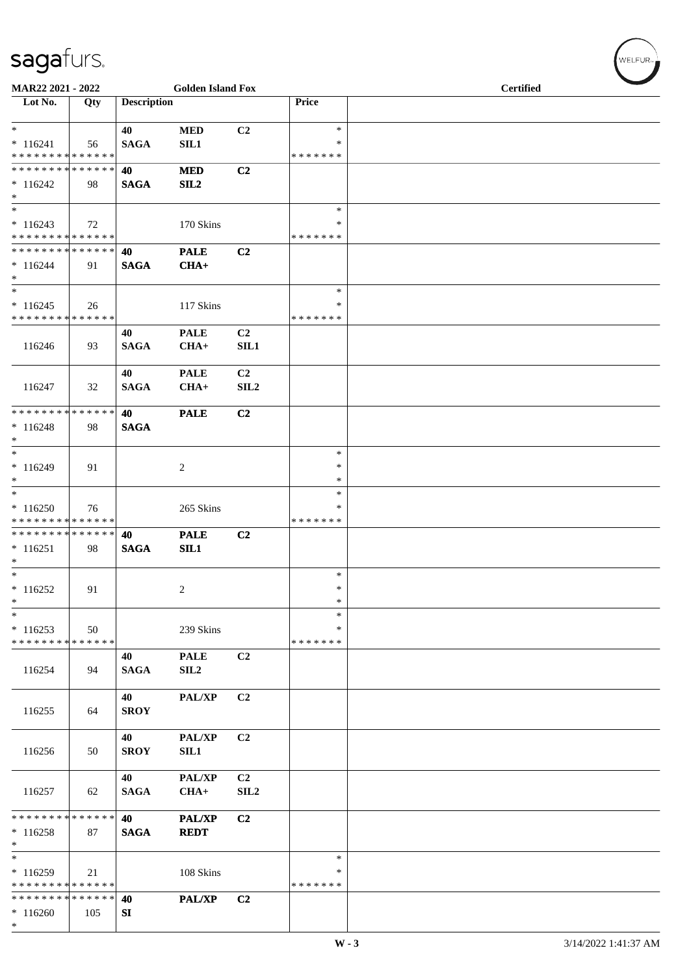| MAR22 2021 - 2022                                         |     |                    | <b>Golden Island Fox</b>        |                                    |                                   | <b>Certified</b> |  |  |  |
|-----------------------------------------------------------|-----|--------------------|---------------------------------|------------------------------------|-----------------------------------|------------------|--|--|--|
| Lot No.                                                   | Qty | <b>Description</b> |                                 |                                    | Price                             |                  |  |  |  |
| $\ast$<br>$* 116241$                                      | 56  | 40<br><b>SAGA</b>  | <b>MED</b><br>SL1               | C <sub>2</sub>                     | $\ast$<br>∗                       |                  |  |  |  |
| * * * * * * * * * * * * * *<br>**************             |     | 40                 | $\bf MED$                       | C2                                 | * * * * * * *                     |                  |  |  |  |
| $* 116242$<br>$\ast$<br>$\ast$                            | 98  | <b>SAGA</b>        | SL2                             |                                    | $\ast$                            |                  |  |  |  |
| $*116243$<br>******** <mark>******</mark>                 | 72  |                    | 170 Skins                       |                                    | $\ast$<br>* * * * * * *           |                  |  |  |  |
| **************<br>$*116244$<br>$\ast$                     | 91  | 40<br><b>SAGA</b>  | <b>PALE</b><br>$CHA+$           | C2                                 |                                   |                  |  |  |  |
| $\ast$<br>$*116245$<br>* * * * * * * * * * * * * *        | 26  |                    | 117 Skins                       |                                    | $\ast$<br>$\ast$<br>* * * * * * * |                  |  |  |  |
| 116246                                                    | 93  | 40<br><b>SAGA</b>  | <b>PALE</b><br>$CHA+$           | C <sub>2</sub><br>SIL1             |                                   |                  |  |  |  |
| 116247                                                    | 32  | 40<br><b>SAGA</b>  | <b>PALE</b><br>$CHA+$           | C <sub>2</sub><br>SLL2             |                                   |                  |  |  |  |
| * * * * * * * * * * * * * *<br>$* 116248$<br>$\ast$       | 98  | 40<br><b>SAGA</b>  | <b>PALE</b>                     | C <sub>2</sub>                     |                                   |                  |  |  |  |
| $\ast$<br>$*116249$<br>$*$                                | 91  |                    | $\overline{2}$                  |                                    | $\ast$<br>$\ast$<br>$\ast$        |                  |  |  |  |
| $\ast$<br>$*116250$<br>* * * * * * * * * * * * * *        | 76  |                    | 265 Skins                       |                                    | $\ast$<br>∗<br>* * * * * * *      |                  |  |  |  |
| **************<br>$* 116251$<br>$\ast$                    | 98  | 40<br><b>SAGA</b>  | <b>PALE</b><br>SL1              | C <sub>2</sub>                     |                                   |                  |  |  |  |
| $\ast$<br>$*116252$<br>$\ast$                             | 91  |                    | $\overline{c}$                  |                                    | $\ast$<br>$\ast$<br>$\ast$        |                  |  |  |  |
| $\ast$<br>$*116253$<br>* * * * * * * * * * * * * *        | 50  |                    | 239 Skins                       |                                    | $\ast$<br>∗<br>* * * * * * *      |                  |  |  |  |
| 116254                                                    | 94  | 40<br><b>SAGA</b>  | <b>PALE</b><br>SIL <sub>2</sub> | C <sub>2</sub>                     |                                   |                  |  |  |  |
| 116255                                                    | 64  | 40<br><b>SROY</b>  | PAL/XP                          | C <sub>2</sub>                     |                                   |                  |  |  |  |
| 116256                                                    | 50  | 40<br><b>SROY</b>  | PAL/XP<br>SIL1                  | C2                                 |                                   |                  |  |  |  |
| 116257                                                    | 62  | 40<br><b>SAGA</b>  | PAL/XP<br>$CHA+$                | C <sub>2</sub><br>SIL <sub>2</sub> |                                   |                  |  |  |  |
| * * * * * * * * * * * * * *<br>$*116258$<br>$\ast$        | 87  | 40<br><b>SAGA</b>  | <b>PAL/XP</b><br><b>REDT</b>    | C2                                 |                                   |                  |  |  |  |
| $_{\ast}^{-}$<br>$*116259$<br>* * * * * * * * * * * * * * | 21  |                    | 108 Skins                       |                                    | $\ast$<br>*<br>* * * * * * *      |                  |  |  |  |
| * * * * * * * * * * * * * *<br>$*116260$<br>$*$           | 105 | 40<br>SI           | PAL/XP                          | C2                                 |                                   |                  |  |  |  |

 $(\forall ELFUR_{\text{max}})$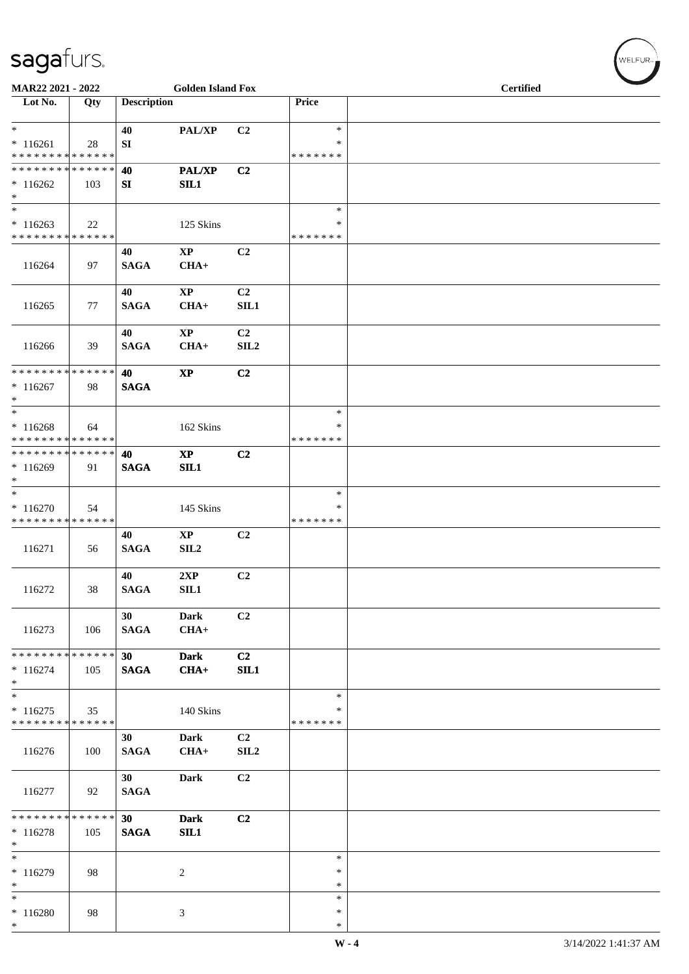| MAR22 2021 - 2022                                                                   |     |                       | <b>Golden Island Fox</b>       |                                    |                                   | Certified |  |  |  |
|-------------------------------------------------------------------------------------|-----|-----------------------|--------------------------------|------------------------------------|-----------------------------------|-----------|--|--|--|
| Lot No.                                                                             | Qty | <b>Description</b>    |                                |                                    | Price                             |           |  |  |  |
| $*$<br>$*116261$<br>* * * * * * * * * * * * * *                                     | 28  | 40<br>SI              | PAL/XP                         | C2                                 | $\ast$<br>*<br>* * * * * * *      |           |  |  |  |
| * * * * * * * * * * * * * *<br>$*116262$<br>$\ast$                                  | 103 | 40<br>SI              | <b>PAL/XP</b><br>SL1           | C2                                 |                                   |           |  |  |  |
| $\ast$<br>$*116263$<br>* * * * * * * * * * * * * *                                  | 22  |                       | 125 Skins                      |                                    | $\ast$<br>$\ast$<br>* * * * * * * |           |  |  |  |
| 116264                                                                              | 97  | 40<br><b>SAGA</b>     | $\mathbf{XP}$<br>$CHA+$        | C2                                 |                                   |           |  |  |  |
| 116265                                                                              | 77  | 40<br><b>SAGA</b>     | $\bold{XP}$<br>$CHA+$          | C <sub>2</sub><br>SIL1             |                                   |           |  |  |  |
| 116266                                                                              | 39  | 40<br><b>SAGA</b>     | $\mathbf{XP}$<br>$CHA+$        | C <sub>2</sub><br>SIL <sub>2</sub> |                                   |           |  |  |  |
| * * * * * * * * * * * * * * *<br>$*116267$<br>$\ast$                                | 98  | 40<br><b>SAGA</b>     | $\mathbf{X}\mathbf{P}$         | C2                                 |                                   |           |  |  |  |
| $\overline{\phantom{1}}$<br>$*116268$<br>* * * * * * * * <mark>* * * * * * *</mark> | 64  |                       | 162 Skins                      |                                    | $\ast$<br>∗<br>* * * * * * *      |           |  |  |  |
| **************<br>$*116269$<br>$\ast$                                               | 91  | 40<br><b>SAGA</b>     | $\mathbf{X}\mathbf{P}$<br>SL1  | C2                                 |                                   |           |  |  |  |
| $\ast$<br>$* 116270$<br>* * * * * * * * * * * * * *                                 | 54  |                       | 145 Skins                      |                                    | $\ast$<br>∗<br>* * * * * * *      |           |  |  |  |
| 116271                                                                              | 56  | 40<br><b>SAGA</b>     | $\mathbf{X}\mathbf{P}$<br>SLL2 | C <sub>2</sub>                     |                                   |           |  |  |  |
| 116272                                                                              | 38  | 40<br><b>SAGA</b>     | 2XP<br>SIL1                    | C2                                 |                                   |           |  |  |  |
| 116273                                                                              | 106 | 30<br><b>SAGA</b>     | <b>Dark</b><br>$CHA+$          | C2                                 |                                   |           |  |  |  |
| ******** <mark>******</mark><br>$* 116274$<br>$*$                                   | 105 | $30-1$<br><b>SAGA</b> | <b>Dark</b><br>$CHA+$          | C <sub>2</sub><br>SIL1             |                                   |           |  |  |  |
| $\ast$<br>$* 116275$<br>* * * * * * * * * * * * * *                                 | 35  |                       | 140 Skins                      |                                    | $\ast$<br>∗<br>* * * * * * *      |           |  |  |  |
| 116276                                                                              | 100 | 30<br><b>SAGA</b>     | Dark<br>$CHA+$                 | C <sub>2</sub><br>SIL <sub>2</sub> |                                   |           |  |  |  |
| 116277                                                                              | 92  | 30<br><b>SAGA</b>     | Dark                           | C2                                 |                                   |           |  |  |  |
| * * * * * * * * * * * * * * *<br>$*116278$<br>$\ast$                                | 105 | 30<br><b>SAGA</b>     | <b>Dark</b><br>SIL1            | C <sub>2</sub>                     |                                   |           |  |  |  |
| $\overline{\phantom{0}}$<br>$*116279$<br>$*$                                        | 98  |                       | $\overline{c}$                 |                                    | $\ast$<br>$\ast$<br>*             |           |  |  |  |
| $_{\ast}^{-}$<br>$*116280$<br>$*$                                                   | 98  |                       | $\ensuremath{\mathfrak{Z}}$    |                                    | $\ast$<br>$\ast$<br>$\ast$        |           |  |  |  |

 $(\sqrt{\text{WELFUR}_{n}})$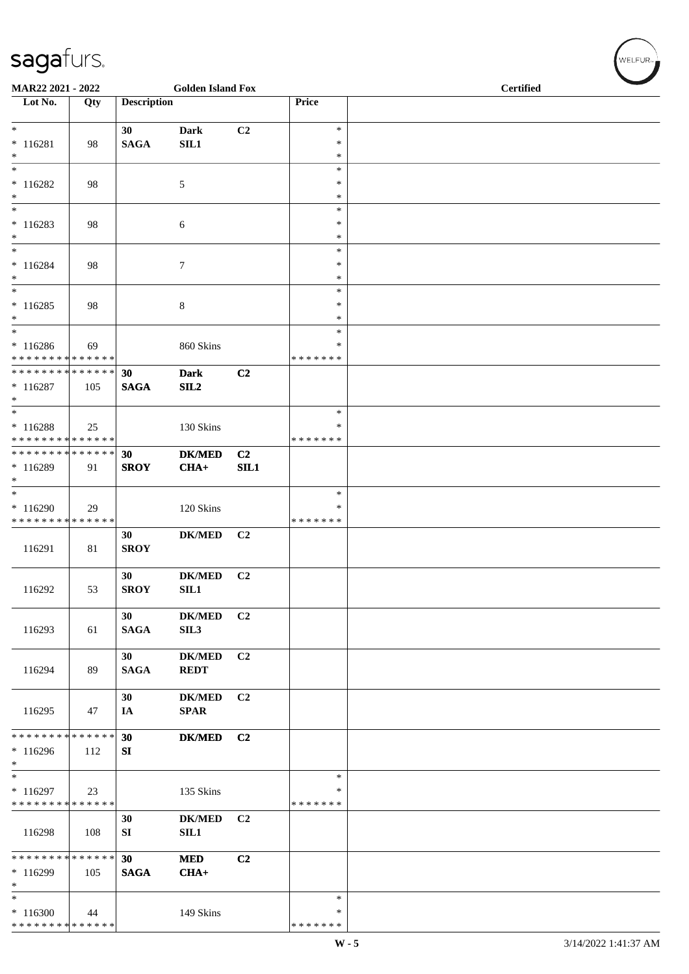| MAR22 2021 - 2022                          |     |                    | <b>Golden Island Fox</b>     |                |                    | Certified |  |  |  |  |
|--------------------------------------------|-----|--------------------|------------------------------|----------------|--------------------|-----------|--|--|--|--|
| Lot No.                                    | Qty | <b>Description</b> |                              |                | Price              |           |  |  |  |  |
| $*$                                        |     | 30                 | <b>Dark</b>                  | C2             | $\ast$             |           |  |  |  |  |
| $* 116281$                                 | 98  | <b>SAGA</b>        | SL1                          |                | *                  |           |  |  |  |  |
| $\ast$                                     |     |                    |                              |                | $\ast$             |           |  |  |  |  |
| $\overline{\phantom{a}}$                   |     |                    |                              |                | $\ast$<br>$\ast$   |           |  |  |  |  |
| $* 116282$<br>$\ast$                       | 98  |                    | $\sqrt{5}$                   |                | $\ast$             |           |  |  |  |  |
| $\ast$                                     |     |                    |                              |                | $\ast$             |           |  |  |  |  |
| $* 116283$                                 | 98  |                    | $\sqrt{6}$                   |                | $\ast$             |           |  |  |  |  |
| $\ast$<br>$\ast$                           |     |                    |                              |                | $\ast$<br>$\ast$   |           |  |  |  |  |
| $* 116284$                                 | 98  |                    | $\tau$                       |                | *                  |           |  |  |  |  |
| $\ast$<br>$_{\ast}^{-}$                    |     |                    |                              |                | $\ast$             |           |  |  |  |  |
| $*116285$                                  | 98  |                    | 8                            |                | $\ast$<br>$\ast$   |           |  |  |  |  |
| $\ast$                                     |     |                    |                              |                | $\ast$             |           |  |  |  |  |
| $\ast$                                     |     |                    |                              |                | $\ast$             |           |  |  |  |  |
| $*116286$<br>* * * * * * * * * * * * * *   | 69  |                    | 860 Skins                    |                | *<br>* * * * * * * |           |  |  |  |  |
| **************                             |     | 30                 | <b>Dark</b>                  | C <sub>2</sub> |                    |           |  |  |  |  |
| $*116287$                                  | 105 | $\mathbf{SAGA}$    | SL2                          |                |                    |           |  |  |  |  |
| $\ast$<br>$\ast$                           |     |                    |                              |                | $\ast$             |           |  |  |  |  |
| $* 116288$                                 | 25  |                    | 130 Skins                    |                | ∗                  |           |  |  |  |  |
| * * * * * * * * <mark>* * * * * * *</mark> |     |                    |                              |                | * * * * * * *      |           |  |  |  |  |
| **************                             |     | 30                 | <b>DK/MED</b>                | C <sub>2</sub> |                    |           |  |  |  |  |
| $*116289$<br>$\ast$                        | 91  | <b>SROY</b>        | $CHA+$                       | SL1            |                    |           |  |  |  |  |
| $\ast$                                     |     |                    |                              |                | $\ast$             |           |  |  |  |  |
| $*116290$                                  | 29  |                    | 120 Skins                    |                | ∗                  |           |  |  |  |  |
| * * * * * * * * * * * * * *                |     | 30                 | <b>DK/MED</b>                | C2             | * * * * * * *      |           |  |  |  |  |
| 116291                                     | 81  | <b>SROY</b>        |                              |                |                    |           |  |  |  |  |
|                                            |     |                    |                              |                |                    |           |  |  |  |  |
| 116292                                     | 53  | 30<br><b>SROY</b>  | <b>DK/MED</b><br>SIL1        | C <sub>2</sub> |                    |           |  |  |  |  |
|                                            |     |                    |                              |                |                    |           |  |  |  |  |
|                                            |     | 30                 | <b>DK/MED</b>                | C2             |                    |           |  |  |  |  |
| 116293                                     | 61  | <b>SAGA</b>        | SIL3                         |                |                    |           |  |  |  |  |
|                                            |     | 30                 | <b>DK/MED</b>                | C2             |                    |           |  |  |  |  |
| 116294                                     | 89  | <b>SAGA</b>        | <b>REDT</b>                  |                |                    |           |  |  |  |  |
|                                            |     |                    |                              |                |                    |           |  |  |  |  |
| 116295                                     | 47  | 30<br>IA           | <b>DK/MED</b><br><b>SPAR</b> | C2             |                    |           |  |  |  |  |
|                                            |     |                    |                              |                |                    |           |  |  |  |  |
| * * * * * * * * * * * * * *                |     | 30                 | <b>DK/MED</b>                | C2             |                    |           |  |  |  |  |
| $*116296$<br>$\ast$                        | 112 | SI                 |                              |                |                    |           |  |  |  |  |
| $\ast$                                     |     |                    |                              |                | $\ast$             |           |  |  |  |  |
| $*116297$                                  | 23  |                    | 135 Skins                    |                | ∗                  |           |  |  |  |  |
| * * * * * * * * * * * * * *                |     | 30                 | <b>DK/MED</b>                | C2             | * * * * * * *      |           |  |  |  |  |
| 116298                                     | 108 | SI                 | <b>SIL1</b>                  |                |                    |           |  |  |  |  |
|                                            |     |                    |                              |                |                    |           |  |  |  |  |
| * * * * * * * * * * * * * *<br>* 116299    | 105 | 30<br><b>SAGA</b>  | <b>MED</b><br>$CHA+$         | C2             |                    |           |  |  |  |  |
| $\ast$                                     |     |                    |                              |                |                    |           |  |  |  |  |
| $\ast$                                     |     |                    |                              |                | $\ast$             |           |  |  |  |  |
| $*116300$<br>* * * * * * * * * * * * * *   | 44  |                    | 149 Skins                    |                | ∗<br>* * * * * * * |           |  |  |  |  |
|                                            |     |                    |                              |                |                    |           |  |  |  |  |

 $(\overbrace{\text{WELFUR}_{\text{IV}}})$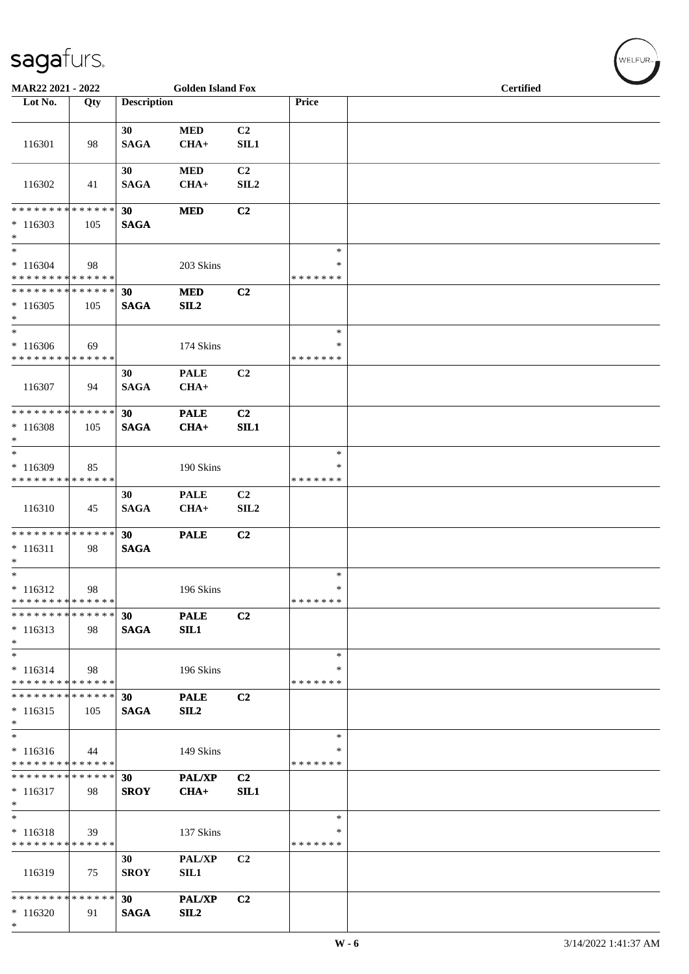| MAR22 2021 - 2022                                   |     |                    | <b>Golden Island Fox</b>     |                                    |                                   |  | <b>Certified</b> |  |  |
|-----------------------------------------------------|-----|--------------------|------------------------------|------------------------------------|-----------------------------------|--|------------------|--|--|
| Lot No.                                             | Qty | <b>Description</b> |                              |                                    | Price                             |  |                  |  |  |
| 116301                                              | 98  | 30<br><b>SAGA</b>  | <b>MED</b><br>$CHA+$         | C <sub>2</sub><br><b>SIL1</b>      |                                   |  |                  |  |  |
| 116302                                              | 41  | 30<br><b>SAGA</b>  | $\bf MED$<br>$CHA+$          | C <sub>2</sub><br>SL2              |                                   |  |                  |  |  |
| * * * * * * * * * * * * * *<br>$*116303$<br>$*$     | 105 | 30<br><b>SAGA</b>  | <b>MED</b>                   | C2                                 |                                   |  |                  |  |  |
| $\ast$<br>$*116304$<br>* * * * * * * * * * * * * *  | 98  |                    | 203 Skins                    |                                    | $\ast$<br>$\ast$<br>* * * * * * * |  |                  |  |  |
| * * * * * * * * * * * * * *<br>$*116305$<br>$*$     | 105 | 30<br><b>SAGA</b>  | <b>MED</b><br>SL2            | C2                                 |                                   |  |                  |  |  |
| $*$<br>$*116306$<br>* * * * * * * * * * * * * *     | 69  |                    | 174 Skins                    |                                    | $\ast$<br>∗<br>* * * * * * *      |  |                  |  |  |
| 116307                                              | 94  | 30<br><b>SAGA</b>  | <b>PALE</b><br>$CHA+$        | C2                                 |                                   |  |                  |  |  |
| * * * * * * * * * * * * * *<br>$*116308$<br>$*$     | 105 | 30<br><b>SAGA</b>  | <b>PALE</b><br>$CHA+$        | C2<br>SL1                          |                                   |  |                  |  |  |
| $\ast$<br>$*116309$<br>* * * * * * * * * * * * * *  | 85  |                    | 190 Skins                    |                                    | $\ast$<br>∗<br>* * * * * * *      |  |                  |  |  |
| 116310                                              | 45  | 30<br><b>SAGA</b>  | <b>PALE</b><br>$CHA+$        | C <sub>2</sub><br>SIL <sub>2</sub> |                                   |  |                  |  |  |
| * * * * * * * * * * * * * *<br>$* 116311$<br>$*$    | 98  | 30<br><b>SAGA</b>  | <b>PALE</b>                  | C2                                 |                                   |  |                  |  |  |
| $*$<br>$*116312$<br>* * * * * * * * * * * * * *     | 98  |                    | 196 Skins                    |                                    | $\ast$<br>$\ast$<br>* * * * * * * |  |                  |  |  |
| * * * * * * * * * * * * * *<br>$*116313$<br>$*$     | 98  | 30<br><b>SAGA</b>  | <b>PALE</b><br>SIL1          | C2                                 |                                   |  |                  |  |  |
| $\ast$<br>$* 116314$<br>* * * * * * * * * * * * * * | 98  |                    | 196 Skins                    |                                    | $\ast$<br>*<br>* * * * * * *      |  |                  |  |  |
| * * * * * * * * * * * * * * *<br>$*116315$<br>$*$   | 105 | 30<br><b>SAGA</b>  | <b>PALE</b><br>SL2           | C <sub>2</sub>                     |                                   |  |                  |  |  |
| $*$<br>$* 116316$<br>* * * * * * * * * * * * * *    | 44  |                    | 149 Skins                    |                                    | $\ast$<br>∗<br>* * * * * * *      |  |                  |  |  |
| * * * * * * * * * * * * * *<br>$*116317$<br>$\ast$  | 98  | 30<br><b>SROY</b>  | <b>PAL/XP</b><br>$CHA+$      | C <sub>2</sub><br>SIL1             |                                   |  |                  |  |  |
| $*$<br>$* 116318$<br>* * * * * * * * * * * * * *    | 39  |                    | 137 Skins                    |                                    | $\ast$<br>∗<br>* * * * * * *      |  |                  |  |  |
| 116319                                              | 75  | 30<br><b>SROY</b>  | <b>PAL/XP</b><br><b>SIL1</b> | C <sub>2</sub>                     |                                   |  |                  |  |  |
| * * * * * * * * * * * * * *<br>$*116320$<br>$*$     | 91  | 30<br><b>SAGA</b>  | <b>PAL/XP</b><br>SL2         | C2                                 |                                   |  |                  |  |  |

 $(\sqrt{\text{WELFUR}_{n}})$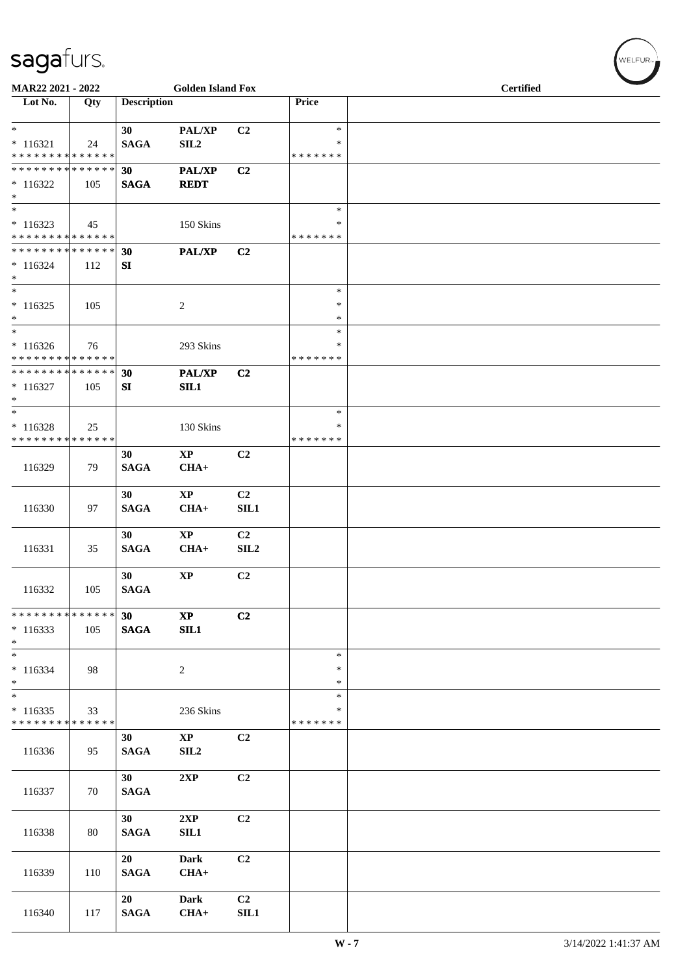| MAR22 2021 - 2022                                                     |     |                       | <b>Golden Island Fox</b>         |                                    |                                   | <b>Certified</b> |  |  |  |
|-----------------------------------------------------------------------|-----|-----------------------|----------------------------------|------------------------------------|-----------------------------------|------------------|--|--|--|
| Lot No.                                                               | Qty | <b>Description</b>    |                                  |                                    | Price                             |                  |  |  |  |
| $*$<br>$* 116321$<br>* * * * * * * * * * * * * *                      | 24  | 30<br><b>SAGA</b>     | PAL/XP<br>SIL <sub>2</sub>       | C <sub>2</sub>                     | $\ast$<br>$\ast$<br>* * * * * * * |                  |  |  |  |
| * * * * * * * * * * * * * *<br>$*116322$<br>$*$                       | 105 | 30<br><b>SAGA</b>     | PAL/XP<br><b>REDT</b>            | C2                                 |                                   |                  |  |  |  |
| $\ast$<br>$*116323$<br>* * * * * * * * * * * * * *                    | 45  |                       | 150 Skins                        |                                    | $\ast$<br>∗<br>* * * * * * *      |                  |  |  |  |
| * * * * * * * * * * * * * * *<br>$*116324$<br>$*$                     | 112 | 30<br>SI              | PAL/XP                           | C <sub>2</sub>                     |                                   |                  |  |  |  |
| $\overline{\ast}$<br>$* 116325$<br>$*$                                | 105 |                       | 2                                |                                    | $\ast$<br>∗<br>$\ast$             |                  |  |  |  |
| $*$<br>$*116326$<br>* * * * * * * * * * * * * *                       | 76  |                       | 293 Skins                        |                                    | $\ast$<br>∗<br>* * * * * * *      |                  |  |  |  |
| * * * * * * * * * * * * * * *<br>$*116327$<br>$*$                     | 105 | 30<br>SI              | PAL/XP<br>SIL1                   | C2                                 |                                   |                  |  |  |  |
| $\overline{\phantom{0}}$<br>$* 116328$<br>* * * * * * * * * * * * * * | 25  |                       | 130 Skins                        |                                    | $\ast$<br>∗<br>* * * * * * *      |                  |  |  |  |
| 116329                                                                | 79  | 30<br><b>SAGA</b>     | $\mathbf{XP}$<br>$CHA+$          | C2                                 |                                   |                  |  |  |  |
| 116330                                                                | 97  | 30<br><b>SAGA</b>     | $\mathbf{X}\mathbf{P}$<br>$CHA+$ | C <sub>2</sub><br>SIL1             |                                   |                  |  |  |  |
| 116331                                                                | 35  | 30<br><b>SAGA</b>     | <b>XP</b><br>$CHA+$              | C <sub>2</sub><br>SIL <sub>2</sub> |                                   |                  |  |  |  |
| 116332                                                                | 105 | 30<br>$\mathbf{SAGA}$ | $\mathbf{X}\mathbf{P}$           | C2                                 |                                   |                  |  |  |  |
| * * * * * * * * * * * * * * *<br>$*116333$<br>$*$ $-$                 | 105 | 30<br><b>SAGA</b>     | $\bold{XP}$<br>SL1               | C <sub>2</sub>                     |                                   |                  |  |  |  |
| $*$<br>$* 116334$<br>$*$                                              | 98  |                       | $\overline{c}$                   |                                    | $\ast$<br>$\ast$<br>$\ast$        |                  |  |  |  |
| $*$<br>$*116335$<br>* * * * * * * * * * * * * *                       | 33  |                       | 236 Skins                        |                                    | $\ast$<br>$\ast$<br>* * * * * * * |                  |  |  |  |
| 116336                                                                | 95  | 30<br><b>SAGA</b>     | $\mathbf{XP}$<br>SL2             | C2                                 |                                   |                  |  |  |  |
| 116337                                                                | 70  | 30<br><b>SAGA</b>     | 2XP                              | C2                                 |                                   |                  |  |  |  |
| 116338                                                                | 80  | 30<br><b>SAGA</b>     | 2XP<br>SIL1                      | C2                                 |                                   |                  |  |  |  |
| 116339                                                                | 110 | 20<br><b>SAGA</b>     | <b>Dark</b><br>$CHA+$            | C2                                 |                                   |                  |  |  |  |
| 116340                                                                | 117 | 20<br><b>SAGA</b>     | <b>Dark</b><br>$CHA+$            | C <sub>2</sub><br><b>SIL1</b>      |                                   |                  |  |  |  |

 $(w$ elfur $_{\approx}$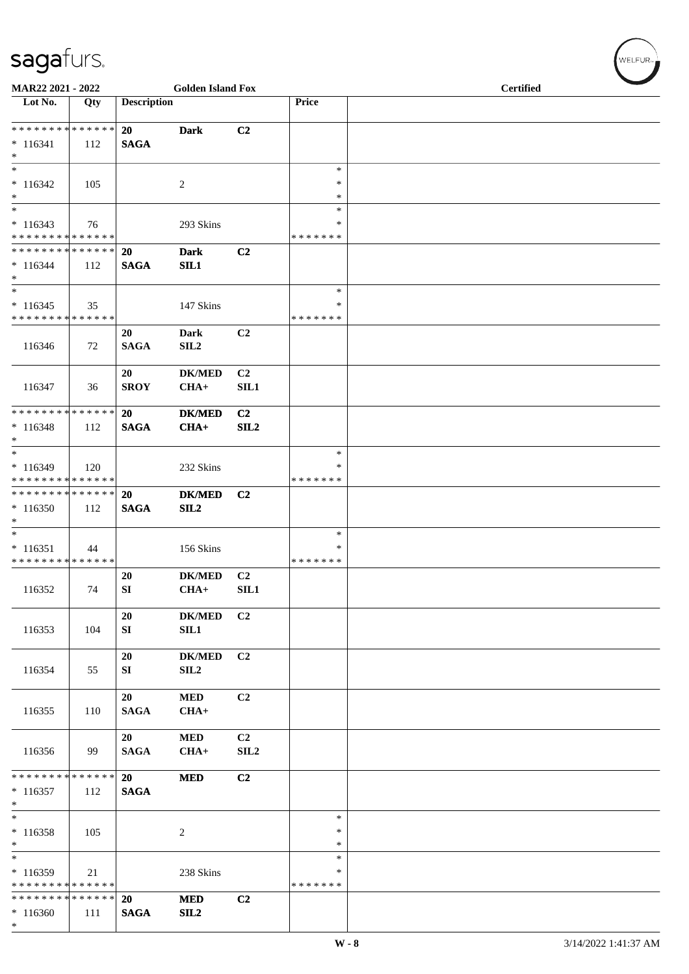| MAR22 2021 - 2022                                  |                    |                          | <b>Golden Island Fox</b>          |                        |                              | <b>Certified</b> |  |  |  |
|----------------------------------------------------|--------------------|--------------------------|-----------------------------------|------------------------|------------------------------|------------------|--|--|--|
| Lot No.                                            | Qty                | <b>Description</b>       |                                   |                        | Price                        |                  |  |  |  |
| ******** <mark>******</mark>                       |                    | 20                       | <b>Dark</b>                       | C2                     |                              |                  |  |  |  |
| $*116341$<br>$*$                                   | 112                | <b>SAGA</b>              |                                   |                        |                              |                  |  |  |  |
| $\overline{\phantom{0}}$<br>$* 116342$<br>$*$      | 105                |                          | $\overline{c}$                    |                        | $\ast$<br>$\ast$<br>$\ast$   |                  |  |  |  |
| $*$                                                |                    |                          |                                   |                        | $\ast$                       |                  |  |  |  |
| $* 116343$<br>* * * * * * * * * * * * * * *        | 76                 |                          | 293 Skins                         |                        | $\ast$<br>* * * * * * *      |                  |  |  |  |
| * * * * * * * * * * * * * * *<br>$* 116344$<br>$*$ | 112                | <b>20</b><br><b>SAGA</b> | <b>Dark</b><br>SL1                | C2                     |                              |                  |  |  |  |
| $\overline{\ast}$<br>$*116345$                     | 35                 |                          | 147 Skins                         |                        | $\ast$<br>∗                  |                  |  |  |  |
| * * * * * * * * * * * * * *                        |                    |                          |                                   |                        | * * * * * * *                |                  |  |  |  |
| 116346                                             | 72                 | 20<br><b>SAGA</b>        | Dark<br>SIL <sub>2</sub>          | C2                     |                              |                  |  |  |  |
| 116347                                             | 36                 | 20<br><b>SROY</b>        | <b>DK/MED</b><br>$CHA+$           | C <sub>2</sub><br>SIL1 |                              |                  |  |  |  |
| * * * * * * * * * * * * * * *                      |                    | 20                       | <b>DK/MED</b>                     | C2                     |                              |                  |  |  |  |
| $* 116348$<br>$*$                                  | 112                | <b>SAGA</b>              | $CHA+$                            | SL2                    |                              |                  |  |  |  |
| $*$<br>$*116349$<br>* * * * * * * * * * * * * *    | 120                |                          | 232 Skins                         |                        | $\ast$<br>∗<br>* * * * * * * |                  |  |  |  |
| * * * * * * * * * * * * * * *                      |                    | <b>20</b>                | <b>DK/MED</b>                     | C2                     |                              |                  |  |  |  |
| $*116350$<br>$*$                                   | 112                | <b>SAGA</b>              | SL2                               |                        |                              |                  |  |  |  |
| $* 116351$<br>* * * * * * * * * * * * * *          | 44                 |                          | 156 Skins                         |                        | $\ast$<br>∗<br>* * * * * * * |                  |  |  |  |
| 116352                                             | 74                 | <b>20</b><br>SI          | <b>DK/MED</b><br>$CHA+$ SIL1      | C <sub>2</sub>         |                              |                  |  |  |  |
| 116353                                             | 104                | 20<br>SI                 | <b>DK/MED</b><br>SL1              | C <sub>2</sub>         |                              |                  |  |  |  |
| 116354                                             | 55                 | 20<br>SI                 | <b>DK/MED</b><br>SIL <sub>2</sub> | C <sub>2</sub>         |                              |                  |  |  |  |
| 116355                                             | 110                | 20<br><b>SAGA</b>        | $\bf MED$<br>$CHA+$               | C <sub>2</sub>         |                              |                  |  |  |  |
| 116356                                             | 99                 | 20<br><b>SAGA</b>        | <b>MED</b><br>$CHA+$              | C <sub>2</sub><br>SLL2 |                              |                  |  |  |  |
| * * * * * * * *<br>$*116357$<br>$\ast$             | * * * * * *<br>112 | 20<br><b>SAGA</b>        | <b>MED</b>                        | C <sub>2</sub>         |                              |                  |  |  |  |
| $*$<br>$*116358$<br>$\ast$                         | 105                |                          | 2                                 |                        | $\ast$<br>∗<br>∗             |                  |  |  |  |
| $*$<br>* 116359<br>* * * * * * * * * * * * * *     | 21                 |                          | 238 Skins                         |                        | $\ast$<br>∗<br>* * * * * * * |                  |  |  |  |
| * * * * * * * * * * * * * *<br>$*116360$<br>$*$    | 111                | 20<br><b>SAGA</b>        | <b>MED</b><br>SL2                 | C2                     |                              |                  |  |  |  |

 $(w$ ELFUR<sub>m</sub>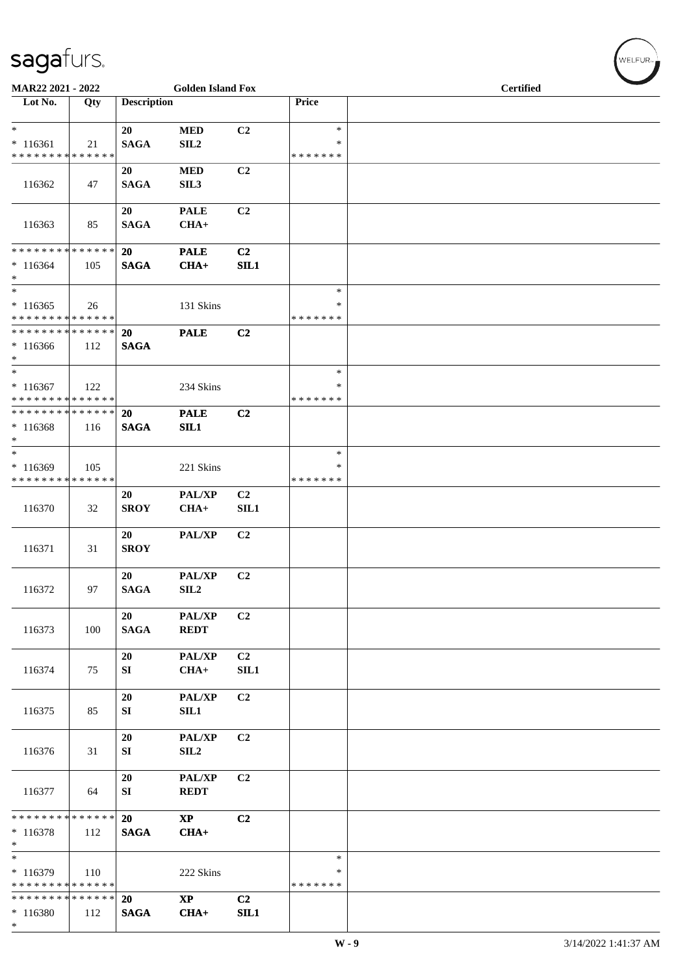| MAR22 2021 - 2022                                                    |     |                          | <b>Golden Island Fox</b>         |                        |                              | Certified |  |  |  |  |
|----------------------------------------------------------------------|-----|--------------------------|----------------------------------|------------------------|------------------------------|-----------|--|--|--|--|
| Lot No.                                                              | Qty | <b>Description</b>       |                                  |                        | Price                        |           |  |  |  |  |
| $*$<br>$* 116361$<br>* * * * * * * * * * * * * *                     | 21  | 20<br><b>SAGA</b>        | <b>MED</b><br>SIL <sub>2</sub>   | C <sub>2</sub>         | $\ast$<br>∗<br>* * * * * * * |           |  |  |  |  |
| 116362                                                               | 47  | 20<br><b>SAGA</b>        | <b>MED</b><br>SIL3               | C <sub>2</sub>         |                              |           |  |  |  |  |
| 116363                                                               | 85  | 20<br><b>SAGA</b>        | <b>PALE</b><br>$CHA+$            | C2                     |                              |           |  |  |  |  |
| * * * * * * * * * * * * * * *<br>$*116364$<br>$*$                    | 105 | 20<br><b>SAGA</b>        | <b>PALE</b><br>$CHA+$            | C2<br>SIL1             |                              |           |  |  |  |  |
| $\overline{\phantom{0}}$<br>$*116365$<br>* * * * * * * * * * * * * * | 26  |                          | 131 Skins                        |                        | $\ast$<br>∗<br>* * * * * * * |           |  |  |  |  |
| * * * * * * * * * * * * * * *<br>$*116366$<br>$*$                    | 112 | 20<br><b>SAGA</b>        | <b>PALE</b>                      | C <sub>2</sub>         |                              |           |  |  |  |  |
| $*$<br>$*116367$<br>* * * * * * * * * * * * * *                      | 122 |                          | 234 Skins                        |                        | $\ast$<br>∗<br>* * * * * * * |           |  |  |  |  |
| * * * * * * * * * * * * * * *<br>$*116368$<br>$*$                    | 116 | <b>20</b><br><b>SAGA</b> | <b>PALE</b><br>SL1               | C <sub>2</sub>         |                              |           |  |  |  |  |
| $*$<br>$*116369$<br>* * * * * * * * * * * * * *                      | 105 |                          | 221 Skins                        |                        | $\ast$<br>∗<br>*******       |           |  |  |  |  |
| 116370                                                               | 32  | 20<br><b>SROY</b>        | PAL/XP<br>$CHA+$                 | C <sub>2</sub><br>SIL1 |                              |           |  |  |  |  |
| 116371                                                               | 31  | 20<br><b>SROY</b>        | <b>PAL/XP</b>                    | C <sub>2</sub>         |                              |           |  |  |  |  |
| 116372                                                               | 97  | 20<br><b>SAGA</b>        | PAL/XP<br>${\bf SIL2}$           | C <sub>2</sub>         |                              |           |  |  |  |  |
| 116373                                                               | 100 | 20<br><b>SAGA</b>        | PAL/XP<br><b>REDT</b>            | C <sub>2</sub>         |                              |           |  |  |  |  |
| 116374                                                               | 75  | 20<br>SI                 | <b>PAL/XP</b><br>$CHA+$          | C <sub>2</sub><br>SIL1 |                              |           |  |  |  |  |
| 116375                                                               | 85  | 20<br>SI                 | PAL/XP<br>SIL1                   | C2                     |                              |           |  |  |  |  |
| 116376                                                               | 31  | 20<br>${\bf SI}$         | PAL/XP<br>SIL <sub>2</sub>       | C2                     |                              |           |  |  |  |  |
| 116377                                                               | 64  | 20<br>SI                 | PAL/XP<br><b>REDT</b>            | C <sub>2</sub>         |                              |           |  |  |  |  |
| * * * * * * * * * * * * * *<br>$* 116378$<br>$\ast$                  | 112 | 20<br><b>SAGA</b>        | $\mathbf{X}\mathbf{P}$<br>$CHA+$ | C2                     |                              |           |  |  |  |  |
| $\overline{\ast}$<br>$* 116379$<br>* * * * * * * * * * * * * *       | 110 |                          | 222 Skins                        |                        | $\ast$<br>∗<br>* * * * * * * |           |  |  |  |  |
| * * * * * * * * * * * * * *<br>$*116380$<br>$\ast$                   | 112 | 20<br><b>SAGA</b>        | $\mathbf{X}\mathbf{P}$<br>$CHA+$ | C <sub>2</sub><br>SIL1 |                              |           |  |  |  |  |

 $(w$ ELFUR-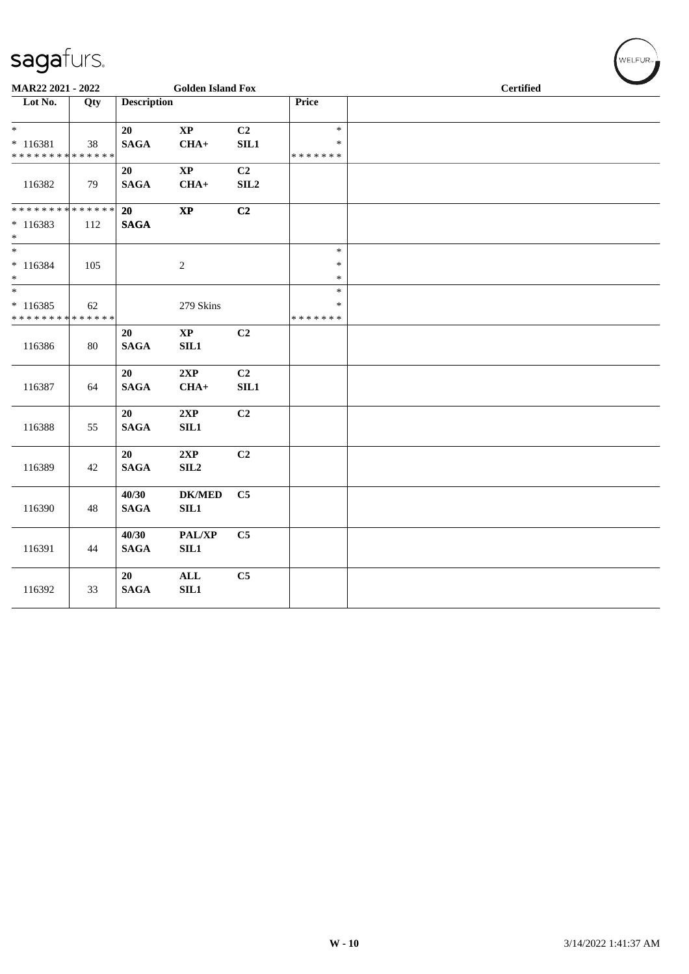|                                            | MAR22 2021 - 2022 |                    | <b>Golden Island Fox</b> |                |                         | <b>Certified</b> |  |
|--------------------------------------------|-------------------|--------------------|--------------------------|----------------|-------------------------|------------------|--|
| Lot No.                                    | Qty               | <b>Description</b> |                          |                | Price                   |                  |  |
| $*$                                        |                   | 20                 | $\mathbf{X}\mathbf{P}$   | C2             | $\ast$                  |                  |  |
| $* 116381$<br>******** <mark>******</mark> | 38                | <b>SAGA</b>        | $CHA+$                   | SIL1           | $\ast$<br>* * * * * * * |                  |  |
|                                            |                   | 20                 | $\mathbf{X}\mathbf{P}$   | C <sub>2</sub> |                         |                  |  |
| 116382                                     | 79                | <b>SAGA</b>        | $CHA+$                   | SIL2           |                         |                  |  |
| * * * * * * * * * * * * * *                |                   | 20                 | $\mathbf{X}\mathbf{P}$   | C2             |                         |                  |  |
| $*116383$<br>$\ast$                        | 112               | <b>SAGA</b>        |                          |                |                         |                  |  |
| $_{\ast}^{-}$                              |                   |                    |                          |                | $\ast$                  |                  |  |
| $* 116384$                                 | 105               |                    | $\sqrt{2}$               |                | $\ast$                  |                  |  |
| $*$<br>$\frac{1}{*}$                       |                   |                    |                          |                | $\ast$<br>$\ast$        |                  |  |
| $*116385$                                  | 62                |                    | 279 Skins                |                | $\ast$                  |                  |  |
| * * * * * * * * * * * * * *                |                   |                    |                          |                | * * * * * * *           |                  |  |
|                                            |                   | 20                 | $\mathbf{X}\mathbf{P}$   | C2             |                         |                  |  |
| 116386                                     | 80                | <b>SAGA</b>        | SL1                      |                |                         |                  |  |
|                                            |                   | 20                 | 2XP                      | C2             |                         |                  |  |
| 116387                                     | 64                | <b>SAGA</b>        | $CHA+$                   | SIL1           |                         |                  |  |
|                                            |                   | 20                 | 2XP                      | C2             |                         |                  |  |
| 116388                                     | 55                | <b>SAGA</b>        | SL1                      |                |                         |                  |  |
|                                            |                   | 20                 | 2XP                      | C2             |                         |                  |  |
| 116389                                     | 42                | <b>SAGA</b>        | SL2                      |                |                         |                  |  |
|                                            |                   | 40/30              | <b>DK/MED</b>            | C5             |                         |                  |  |
| 116390                                     | 48                | <b>SAGA</b>        | SL1                      |                |                         |                  |  |
|                                            |                   | 40/30              | PAL/XP                   | C <sub>5</sub> |                         |                  |  |
| 116391                                     | 44                | <b>SAGA</b>        | SL1                      |                |                         |                  |  |
|                                            |                   | 20                 | <b>ALL</b>               | C5             |                         |                  |  |
| 116392                                     | 33                | <b>SAGA</b>        | SL1                      |                |                         |                  |  |
|                                            |                   |                    |                          |                |                         |                  |  |

 $(\forall ELFUR_{\approx})$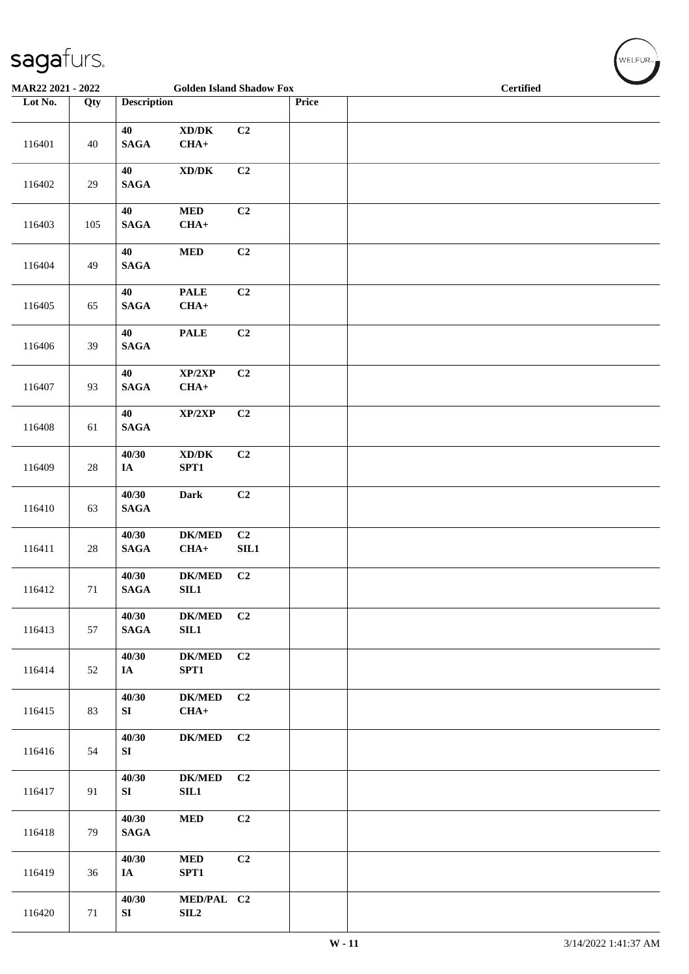| MAR22 2021 - 2022 |        |                          | <b>Golden Island Shadow Fox</b>               |                  |       | <b>Certified</b> |  |  |  |  |
|-------------------|--------|--------------------------|-----------------------------------------------|------------------|-------|------------------|--|--|--|--|
| Lot No.           | Qty    | <b>Description</b>       |                                               |                  | Price |                  |  |  |  |  |
| 116401            | $40\,$ | 40<br><b>SAGA</b>        | $\bold{X}\bold{D}/\bold{D}\bold{K}$<br>$CHA+$ | C2               |       |                  |  |  |  |  |
| 116402            | $29\,$ | 40<br>$\mathbf{SAGA}$    | $\boldsymbol{\text{XD}/\text{DK}}$            | C2               |       |                  |  |  |  |  |
| 116403            | 105    | 40<br><b>SAGA</b>        | $\bf MED$<br>$CHA+$                           | C2               |       |                  |  |  |  |  |
| 116404            | 49     | 40<br>$\mathbf{SAGA}$    | $\bf MED$                                     | C2               |       |                  |  |  |  |  |
| 116405            | 65     | 40<br>$\mathbf{SAGA}$    | <b>PALE</b><br>$CHA+$                         | C2               |       |                  |  |  |  |  |
| 116406            | 39     | 40<br>$\mathbf{SAGA}$    | <b>PALE</b>                                   | C2               |       |                  |  |  |  |  |
| 116407            | 93     | 40<br>$\mathbf{SAGA}$    | XP/2XP<br>$CHA+$                              | C2               |       |                  |  |  |  |  |
| 116408            | 61     | 40<br><b>SAGA</b>        | $\mathbf{XP}/2\mathbf{XP}$                    | C2               |       |                  |  |  |  |  |
| 116409            | $28\,$ | 40/30<br>$I\!\!A$        | $\boldsymbol{\text{XD} / \text{DK}}$<br>SPT1  | C2               |       |                  |  |  |  |  |
| 116410            | 63     | 40/30<br>$\mathbf{SAGA}$ | Dark                                          | C2               |       |                  |  |  |  |  |
| 116411            | $28\,$ | 40/30<br>$\mathbf{SAGA}$ | <b>DK/MED</b><br>$CHA+$                       | C2<br>$\rm SIL1$ |       |                  |  |  |  |  |
| 116412            | 71     | 40/30<br><b>SAGA</b>     | $DK/MED$<br>SIL1                              | C2               |       |                  |  |  |  |  |
| 116413            | 57     | 40/30<br>$\mathbf{SAGA}$ | ${\bf DK/MED}$<br>SL1                         | C2               |       |                  |  |  |  |  |
| 116414            | 52     | 40/30<br>IA              | $DK/MED$<br>SPT1                              | C2               |       |                  |  |  |  |  |
| 116415            | 83     | 40/30<br>SI              | <b>DK/MED</b><br>$CHA+$                       | C2               |       |                  |  |  |  |  |
| 116416            | 54     | 40/30<br>SI              | $DK/MED$                                      | C2               |       |                  |  |  |  |  |
| 116417            | 91     | 40/30<br>SI              | <b>DK/MED</b><br>SL1                          | C2               |       |                  |  |  |  |  |
| 116418            | 79     | 40/30<br><b>SAGA</b>     | <b>MED</b>                                    | C2               |       |                  |  |  |  |  |
| 116419            | 36     | 40/30<br>IA              | $\bf MED$<br>SPT1                             | C2               |       |                  |  |  |  |  |
| 116420            | 71     | 40/30<br>SI              | MED/PAL C2<br>SL2                             |                  |       |                  |  |  |  |  |

 $(\sqrt{\text{WELFUR}_{n}})$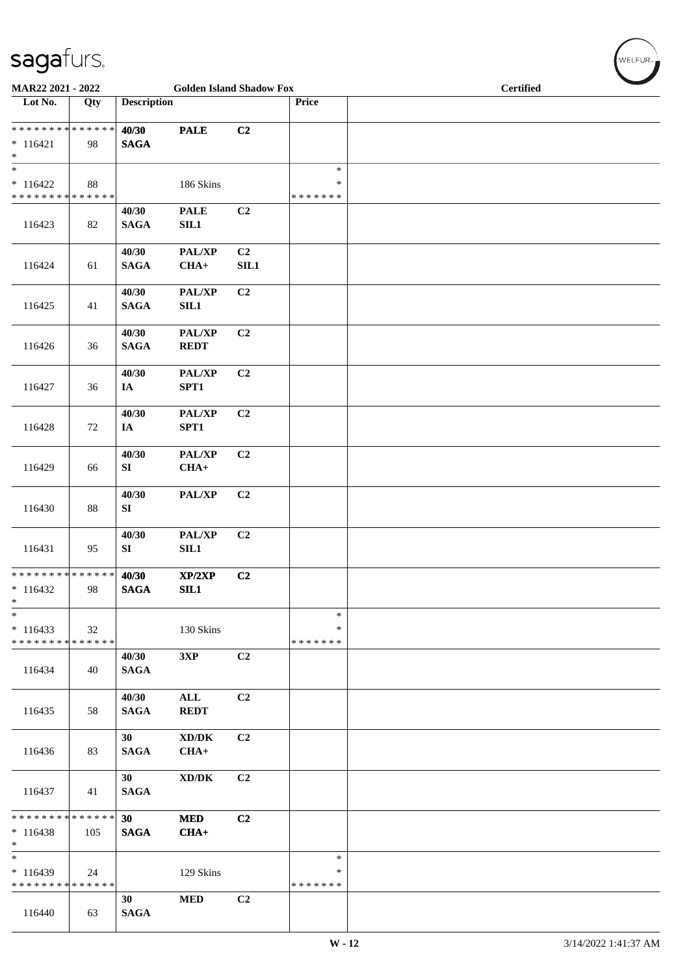| MAR22 2021 - 2022                                   |        |                          | <b>Golden Island Shadow Fox</b>               |                        |                                   |  | <b>Certified</b> |  |  |
|-----------------------------------------------------|--------|--------------------------|-----------------------------------------------|------------------------|-----------------------------------|--|------------------|--|--|
| Lot No.                                             | Qty    | <b>Description</b>       |                                               |                        | Price                             |  |                  |  |  |
| * * * * * * * * * * * * * *<br>$* 116421$<br>$*$    | 98     | 40/30<br><b>SAGA</b>     | <b>PALE</b>                                   | C2                     |                                   |  |                  |  |  |
| $\ast$<br>$* 116422$<br>* * * * * * * * * * * * * * | 88     |                          | 186 Skins                                     |                        | $\ast$<br>*<br>* * * * * * *      |  |                  |  |  |
| 116423                                              | 82     | 40/30<br><b>SAGA</b>     | <b>PALE</b><br>SIL1                           | C2                     |                                   |  |                  |  |  |
| 116424                                              | 61     | 40/30<br><b>SAGA</b>     | PAL/XP<br>$CHA+$                              | C <sub>2</sub><br>SIL1 |                                   |  |                  |  |  |
| 116425                                              | 41     | 40/30<br><b>SAGA</b>     | PAL/XP<br>SL1                                 | C2                     |                                   |  |                  |  |  |
| 116426                                              | 36     | 40/30<br>$\mathbf{SAGA}$ | PAL/XP<br><b>REDT</b>                         | C2                     |                                   |  |                  |  |  |
| 116427                                              | 36     | 40/30<br>IA              | PAL/XP<br>SPT1                                | C2                     |                                   |  |                  |  |  |
| 116428                                              | $72\,$ | 40/30<br>$I\!\!A$        | PAL/XP<br>SPT1                                | C2                     |                                   |  |                  |  |  |
| 116429                                              | 66     | 40/30<br>SI              | PAL/XP<br>$CHA+$                              | C2                     |                                   |  |                  |  |  |
| 116430                                              | 88     | 40/30<br>SI              | PAL/XP                                        | C2                     |                                   |  |                  |  |  |
| 116431                                              | 95     | 40/30<br>SI              | PAL/XP<br>SL1                                 | C <sub>2</sub>         |                                   |  |                  |  |  |
| * * * * * * * * * * * * * *<br>$*116432$<br>$\ast$  | 98     | 40/30<br><b>SAGA</b>     | XP/2XP<br>SL1                                 | C2                     |                                   |  |                  |  |  |
| $\ast$<br>$*116433$<br>* * * * * * * * * * * * * *  | 32     |                          | 130 Skins                                     |                        | $\ast$<br>$\ast$<br>* * * * * * * |  |                  |  |  |
| 116434                                              | 40     | 40/30<br><b>SAGA</b>     | 3XP                                           | C2                     |                                   |  |                  |  |  |
| 116435                                              | 58     | 40/30<br><b>SAGA</b>     | $\mathbf{ALL}$<br><b>REDT</b>                 | C2                     |                                   |  |                  |  |  |
| 116436                                              | 83     | 30<br><b>SAGA</b>        | $\bold{X}\bold{D}/\bold{D}\bold{K}$<br>$CHA+$ | C2                     |                                   |  |                  |  |  |
| 116437                                              | 41     | 30<br><b>SAGA</b>        | $\bold{X}\bold{D}/\bold{D}\bold{K}$           | C2                     |                                   |  |                  |  |  |
| * * * * * * * * * * * * * *<br>$*116438$<br>$*$     | 105    | 30<br><b>SAGA</b>        | <b>MED</b><br>$CHA+$                          | C2                     |                                   |  |                  |  |  |
| $\ast$<br>$*116439$<br>* * * * * * * * * * * * * *  | 24     |                          | 129 Skins                                     |                        | $\ast$<br>$\ast$<br>* * * * * * * |  |                  |  |  |
| 116440                                              | 63     | 30<br><b>SAGA</b>        | $\bf MED$                                     | C2                     |                                   |  |                  |  |  |

WELFUR<sub>"</sub>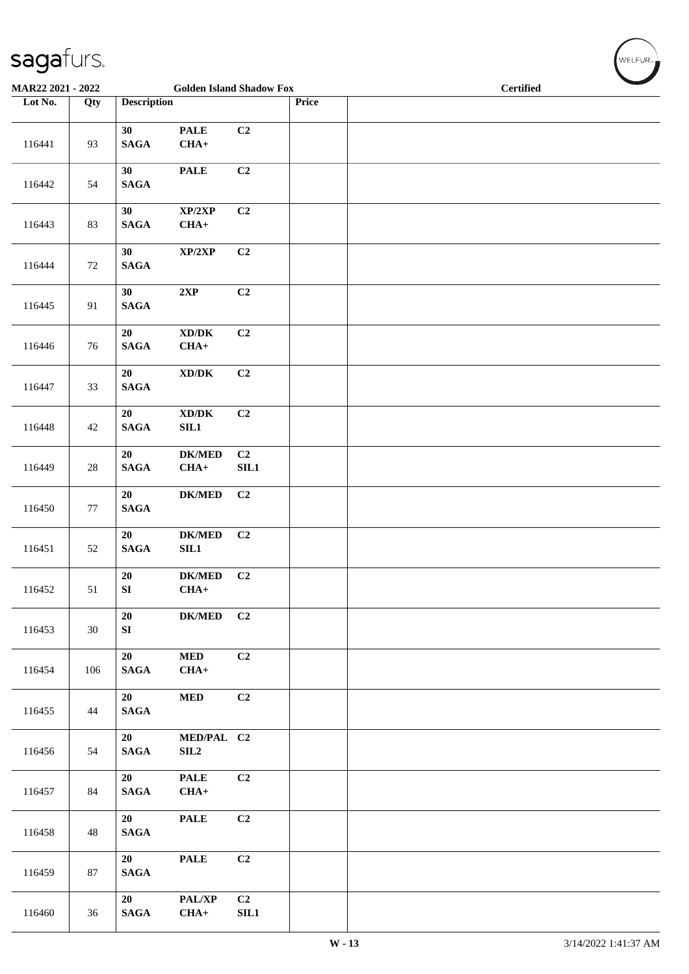| MAR22 2021 - 2022 |        |                               | <b>Golden Island Shadow Fox</b>               |                    |       | <b>Certified</b> |  |  |  |
|-------------------|--------|-------------------------------|-----------------------------------------------|--------------------|-------|------------------|--|--|--|
| Lot No.           | Qty    | <b>Description</b>            |                                               |                    | Price |                  |  |  |  |
| 116441            | 93     | 30<br>$\mathbf{SAGA}$         | <b>PALE</b><br>$CHA+$                         | C <sub>2</sub>     |       |                  |  |  |  |
| 116442            | 54     | 30<br><b>SAGA</b>             | $\ensuremath{\mathsf{PALE}}$                  | C2                 |       |                  |  |  |  |
| 116443            | 83     | 30<br>$\mathbf{SAGA}$         | XP/2XP<br>$CHA+$                              | C <sub>2</sub>     |       |                  |  |  |  |
| 116444            | $72\,$ | 30<br>$\mathbf{SAGA}$         | XP/2XP                                        | C2                 |       |                  |  |  |  |
| 116445            | 91     | 30<br><b>SAGA</b>             | 2XP                                           | C2                 |       |                  |  |  |  |
| 116446            | 76     | 20<br><b>SAGA</b>             | $\bold{X}\bold{D}/\bold{D}\bold{K}$<br>$CHA+$ | C2                 |       |                  |  |  |  |
| 116447            | 33     | 20<br>$\mathbf{SAGA}$         | $\boldsymbol{\text{XD}/\text{DK}}$            | C <sub>2</sub>     |       |                  |  |  |  |
| 116448            | 42     | ${\bf 20}$<br>$\mathbf{SAGA}$ | $\boldsymbol{\text{XD}/\text{DK}}$<br>SIL1    | C2                 |       |                  |  |  |  |
| 116449            | $28\,$ | 20<br>$\mathbf{SAGA}$         | $\mathbf{DK}/\mathbf{MED}$<br>$CHA+$          | C2<br>${\bf SIL1}$ |       |                  |  |  |  |
| 116450            | $77\,$ | 20<br>$\mathbf{SAGA}$         | $DK/MED$                                      | C <sub>2</sub>     |       |                  |  |  |  |
| 116451            | 52     | 20<br>$\mathbf{SAGA}$         | $\mathbf{DK}/\mathbf{MED}$<br>SL1             | C2                 |       |                  |  |  |  |
| 116452            | 51     | 20<br>SI                      | $DK/MED$<br>$CHA+$                            | C2                 |       |                  |  |  |  |
| 116453            | 30     | 20<br>SI                      | <b>DK/MED</b>                                 | C2                 |       |                  |  |  |  |
| 116454            | 106    | 20<br>$\mathbf{SAGA}$         | <b>MED</b><br>$CHA+$                          | C2                 |       |                  |  |  |  |
| 116455            | 44     | 20<br>$\mathbf{SAGA}$         | <b>MED</b>                                    | C2                 |       |                  |  |  |  |
| 116456            | 54     | 20<br>$\mathbf{SAGA}$         | MED/PAL C2<br>${\bf SIL2}$                    |                    |       |                  |  |  |  |
| 116457            | 84     | 20<br><b>SAGA</b>             | <b>PALE</b><br>$CHA+$                         | C2                 |       |                  |  |  |  |
| 116458            | 48     | 20<br>$\mathbf{SAGA}$         | <b>PALE</b>                                   | C2                 |       |                  |  |  |  |
| 116459            | 87     | 20<br>$\mathbf{SAGA}$         | <b>PALE</b>                                   | C2                 |       |                  |  |  |  |
| 116460            | 36     | 20<br>$\mathbf{SAGA}$         | PAL/XP<br>$CHA+$                              | C2<br>SL1          |       |                  |  |  |  |

WELFUR<sub>"</sub>